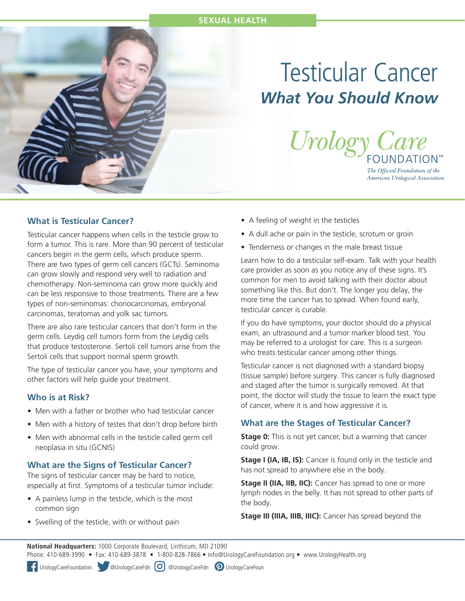#### **SEXUAL HEALTH**



# Testicular Cancer *What You Should Know*



The Official Foundation of the American Urological Association

### **What is Testicular Cancer?**

Testicular cancer happens when cells in the testicle grow to form a tumor. This is rare. More than 90 percent of testicular cancers begin in the germ cells, which produce sperm. There are two types of germ cell cancers (GCTs). Seminoma can grow slowly and respond very well to radiation and chemotherapy. Non-seminoma can grow more quickly and can be less responsive to those treatments. There are a few types of non-seminomas: choriocarcinomas, embryonal carcinomas, teratomas and yolk sac tumors.

There are also rare testicular cancers that don't form in the germ cells. Leydig cell tumors form from the Leydig cells that produce testosterone. Sertoli cell tumors arise from the Sertoli cells that support normal sperm growth.

The type of testicular cancer you have, your symptoms and other factors will help guide your treatment.

### **Who is at Risk?**

- Men with a father or brother who had testicular cancer
- Men with a history of testes that don't drop before birth
- Men with abnormal cells in the testicle called germ cell neoplasia in situ (GCNIS)

### **What are the Signs of Testicular Cancer?**

The signs of testicular cancer may be hard to notice, especially at first. Symptoms of a testicular tumor include:

- A painless lump in the testicle, which is the most common sign
- Swelling of the testicle, with or without pain
- A feeling of weight in the testicles
- A dull ache or pain in the testicle, scrotum or groin
- Tenderness or changes in the male breast tissue

Learn how to do a testicular self-exam. Talk with your health care provider as soon as you notice any of these signs. It's common for men to avoid talking with their doctor about something like this. But don't. The longer you delay, the more time the cancer has to spread. When found early, testicular cancer is curable.

If you do have symptoms, your doctor should do a physical exam, an ultrasound and a tumor marker blood test. You may be referred to a urologist for care. This is a surgeon who treats testicular cancer among other things.

Testicular cancer is not diagnosed with a standard biopsy (tissue sample) before surgery. This cancer is fully diagnosed and staged after the tumor is surgically removed. At that point, the doctor will study the tissue to learn the exact type of cancer, where it is and how aggressive it is.

### **What are the Stages of Testicular Cancer?**

**Stage 0:** This is not yet cancer, but a warning that cancer could grow.

**Stage I (IA, IB, IS):** Cancer is found only in the testicle and has not spread to anywhere else in the body.

**Stage II (IIA, IIB, IIC):** Cancer has spread to one or more lymph nodes in the belly. It has not spread to other parts of the body.

**Stage III (IIIA, IIIB, IIIC):** Cancer has spread beyond the

**National Headquarters:** 1000 Corporate Boulevard, Linthicum, MD 21090 Phone: 410-689-3990 • Fax: 410-689-3878 • 1-800-828-7866 • info@UrologyCareFoundation.org • www.UrologyHealth.org